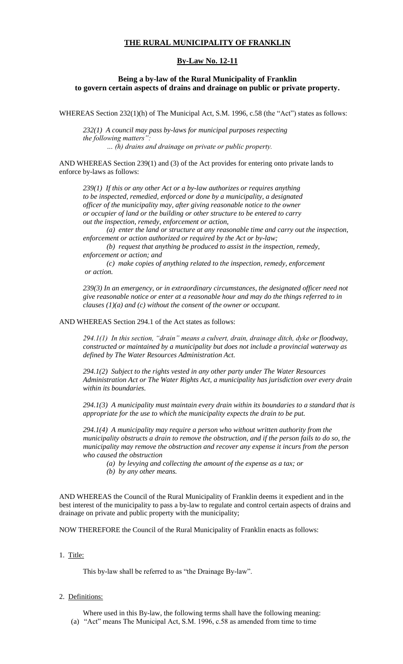# **THE RURAL MUNICIPALITY OF FRANKLIN**

## **By-Law No. 12-11**

## **Being a by-law of the Rural Municipality of Franklin to govern certain aspects of drains and drainage on public or private property.**

WHEREAS Section 232(1)(h) of The Municipal Act, S.M. 1996, c.58 (the "Act") states as follows:

*232(1) A council may pass by-laws for municipal purposes respecting the following matters": … (h) drains and drainage on private or public property.*

AND WHEREAS Section 239(1) and (3) of the Act provides for entering onto private lands to enforce by-laws as follows:

*239(1) If this or any other Act or a by-law authorizes or requires anything to be inspected, remedied, enforced or done by a municipality, a designated officer of the municipality may, after giving reasonable notice to the owner or occupier of land or the building or other structure to be entered to carry out the inspection, remedy, enforcement or action,*

*(a) enter the land or structure at any reasonable time and carry out the inspection, enforcement or action authorized or required by the Act or by-law;*

*(b) request that anything be produced to assist in the inspection, remedy, enforcement or action; and*

*(c) make copies of anything related to the inspection, remedy, enforcement or action.*

*239(3) In an emergency, or in extraordinary circumstances, the designated officer need not give reasonable notice or enter at a reasonable hour and may do the things referred to in clauses (1)(a) and (c) without the consent of the owner or occupant.*

### AND WHEREAS Section 294.1 of the Act states as follows:

*294.1(1) In this section, "drain" means a culvert, drain, drainage ditch, dyke or floodway, constructed or maintained by a municipality but does not include a provincial waterway as defined by The Water Resources Administration Act.*

*294.1(2) Subject to the rights vested in any other party under The Water Resources Administration Act or The Water Rights Act, a municipality has jurisdiction over every drain within its boundaries.*

*294.1(3) A municipality must maintain every drain within its boundaries to a standard that is appropriate for the use to which the municipality expects the drain to be put.*

*294.1(4) A municipality may require a person who without written authority from the municipality obstructs a drain to remove the obstruction, and if the person fails to do so, the municipality may remove the obstruction and recover any expense it incurs from the person who caused the obstruction*

*(a) by levying and collecting the amount of the expense as a tax; or*

*(b) by any other means.*

AND WHEREAS the Council of the Rural Municipality of Franklin deems it expedient and in the best interest of the municipality to pass a by-law to regulate and control certain aspects of drains and drainage on private and public property with the municipality;

NOW THEREFORE the Council of the Rural Municipality of Franklin enacts as follows:

1. Title:

This by-law shall be referred to as "the Drainage By-law".

#### 2. Definitions:

Where used in this By-law, the following terms shall have the following meaning: (a) "Act" means The Municipal Act, S.M. 1996, c.58 as amended from time to time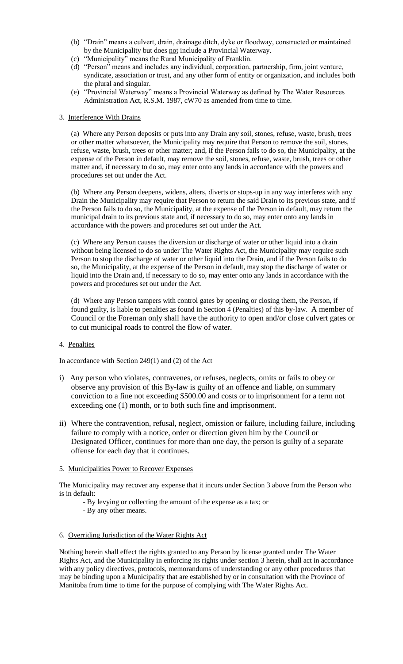- (b) "Drain" means a culvert, drain, drainage ditch, dyke or floodway, constructed or maintained by the Municipality but does not include a Provincial Waterway.
- (c) "Municipality" means the Rural Municipality of Franklin.
- (d) "Person" means and includes any individual, corporation, partnership, firm, joint venture, syndicate, association or trust, and any other form of entity or organization, and includes both the plural and singular.
- (e) "Provincial Waterway" means a Provincial Waterway as defined by The Water Resources Administration Act, R.S.M. 1987, cW70 as amended from time to time.

## 3. Interference With Drains

(a) Where any Person deposits or puts into any Drain any soil, stones, refuse, waste, brush, trees or other matter whatsoever, the Municipality may require that Person to remove the soil, stones, refuse, waste, brush, trees or other matter; and, if the Person fails to do so, the Municipality, at the expense of the Person in default, may remove the soil, stones, refuse, waste, brush, trees or other matter and, if necessary to do so, may enter onto any lands in accordance with the powers and procedures set out under the Act.

(b) Where any Person deepens, widens, alters, diverts or stops-up in any way interferes with any Drain the Municipality may require that Person to return the said Drain to its previous state, and if the Person fails to do so, the Municipality, at the expense of the Person in default, may return the municipal drain to its previous state and, if necessary to do so, may enter onto any lands in accordance with the powers and procedures set out under the Act.

(c) Where any Person causes the diversion or discharge of water or other liquid into a drain without being licensed to do so under The Water Rights Act, the Municipality may require such Person to stop the discharge of water or other liquid into the Drain, and if the Person fails to do so, the Municipality, at the expense of the Person in default, may stop the discharge of water or liquid into the Drain and, if necessary to do so, may enter onto any lands in accordance with the powers and procedures set out under the Act.

(d) Where any Person tampers with control gates by opening or closing them, the Person, if found guilty, is liable to penalties as found in Section 4 (Penalties) of this by-law. A member of Council or the Foreman only shall have the authority to open and/or close culvert gates or to cut municipal roads to control the flow of water.

### 4. Penalties

In accordance with Section 249(1) and (2) of the Act

- i) Any person who violates, contravenes, or refuses, neglects, omits or fails to obey or observe any provision of this By-law is guilty of an offence and liable, on summary conviction to a fine not exceeding \$500.00 and costs or to imprisonment for a term not exceeding one (1) month, or to both such fine and imprisonment.
- ii) Where the contravention, refusal, neglect, omission or failure, including failure, including failure to comply with a notice, order or direction given him by the Council or Designated Officer, continues for more than one day, the person is guilty of a separate offense for each day that it continues.
- 5. Municipalities Power to Recover Expenses

The Municipality may recover any expense that it incurs under Section 3 above from the Person who is in default:

- By levying or collecting the amount of the expense as a tax; or
- By any other means.

### 6. Overriding Jurisdiction of the Water Rights Act

Nothing herein shall effect the rights granted to any Person by license granted under The Water Rights Act, and the Municipality in enforcing its rights under section 3 herein, shall act in accordance with any policy directives, protocols, memorandums of understanding or any other procedures that may be binding upon a Municipality that are established by or in consultation with the Province of Manitoba from time to time for the purpose of complying with The Water Rights Act.